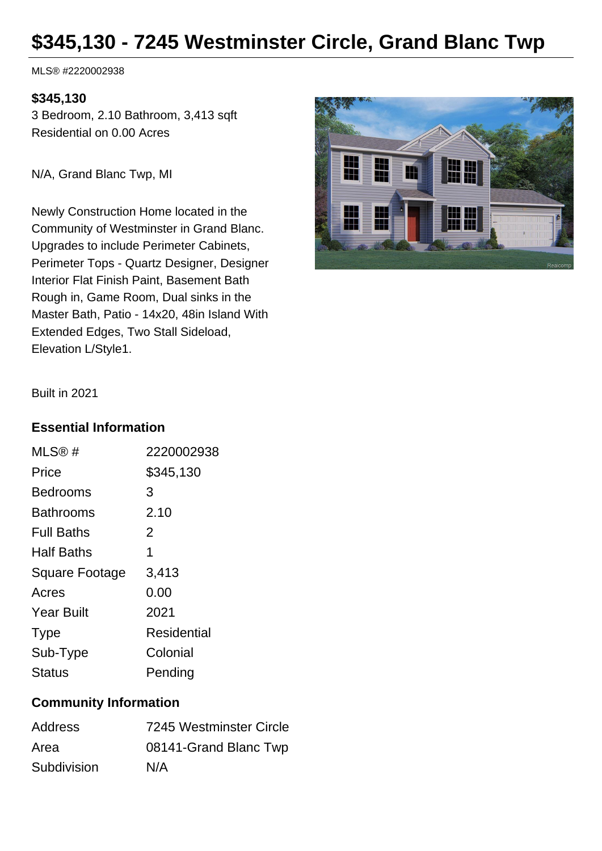# **\$345,130 - 7245 Westminster Circle, Grand Blanc Twp**

MLS® #2220002938

#### **\$345,130**

3 Bedroom, 2.10 Bathroom, 3,413 sqft Residential on 0.00 Acres

N/A, Grand Blanc Twp, MI

Newly Construction Home located in the Community of Westminster in Grand Blanc. Upgrades to include Perimeter Cabinets, Perimeter Tops - Quartz Designer, Designer Interior Flat Finish Paint, Basement Bath Rough in, Game Room, Dual sinks in the Master Bath, Patio - 14x20, 48in Island With Extended Edges, Two Stall Sideload, Elevation L/Style1.



Built in 2021

### **Essential Information**

| MLS@#                 | 2220002938  |
|-----------------------|-------------|
| Price                 | \$345,130   |
| Bedrooms              | 3           |
| Bathrooms             | 2.10        |
| <b>Full Baths</b>     | 2           |
| <b>Half Baths</b>     | 1           |
| <b>Square Footage</b> | 3,413       |
| Acres                 | 0.00        |
| <b>Year Built</b>     | 2021        |
| <b>Type</b>           | Residential |
| Sub-Type              | Colonial    |
| Status                | Pending     |
|                       |             |

### **Community Information**

| <b>Address</b> | 7245 Westminster Circle |
|----------------|-------------------------|
| Area           | 08141-Grand Blanc Twp   |
| Subdivision    | N/A                     |